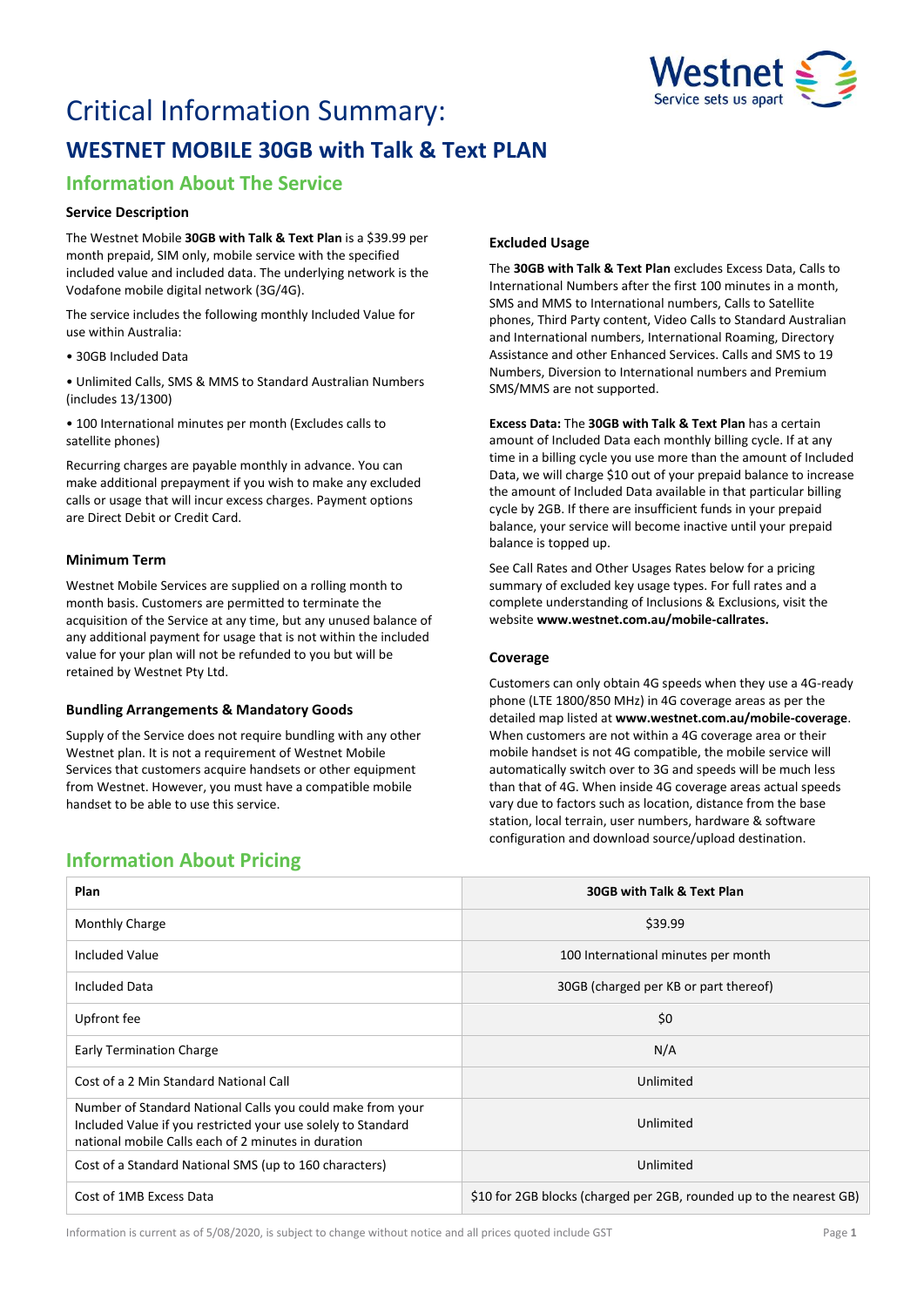

# Critical Information Summary: **WESTNET MOBILE 30GB with Talk & Text PLAN**

# **Information About The Service**

## **Service Description**

The Westnet Mobile **30GB with Talk & Text Plan** is a \$39.99 per month prepaid, SIM only, mobile service with the specified included value and included data. The underlying network is the Vodafone mobile digital network (3G/4G).

The service includes the following monthly Included Value for use within Australia:

• 30GB Included Data

• Unlimited Calls, SMS & MMS to Standard Australian Numbers (includes 13/1300)

• 100 International minutes per month (Excludes calls to satellite phones)

Recurring charges are payable monthly in advance. You can make additional prepayment if you wish to make any excluded calls or usage that will incur excess charges. Payment options are Direct Debit or Credit Card.

## **Minimum Term**

Westnet Mobile Services are supplied on a rolling month to month basis. Customers are permitted to terminate the acquisition of the Service at any time, but any unused balance of any additional payment for usage that is not within the included value for your plan will not be refunded to you but will be retained by Westnet Pty Ltd.

## **Bundling Arrangements & Mandatory Goods**

Supply of the Service does not require bundling with any other Westnet plan. It is not a requirement of Westnet Mobile Services that customers acquire handsets or other equipment from Westnet. However, you must have a compatible mobile handset to be able to use this service.

## **Excluded Usage**

The **30GB with Talk & Text Plan** excludes Excess Data, Calls to International Numbers after the first 100 minutes in a month, SMS and MMS to International numbers, Calls to Satellite phones, Third Party content, Video Calls to Standard Australian and International numbers, International Roaming, Directory Assistance and other Enhanced Services. Calls and SMS to 19 Numbers, Diversion to International numbers and Premium SMS/MMS are not supported.

**Excess Data:** The **30GB with Talk & Text Plan** has a certain amount of Included Data each monthly billing cycle. If at any time in a billing cycle you use more than the amount of Included Data, we will charge \$10 out of your prepaid balance to increase the amount of Included Data available in that particular billing cycle by 2GB. If there are insufficient funds in your prepaid balance, your service will become inactive until your prepaid balance is topped up.

See Call Rates and Other Usages Rates below for a pricing summary of excluded key usage types. For full rates and a complete understanding of Inclusions & Exclusions, visit the website **[www.westnet.com.au/mobile-callrates.](http://www.westnet.com.au/mobile-callrates)**

## **Coverage**

Customers can only obtain 4G speeds when they use a 4G-ready phone (LTE 1800/850 MHz) in 4G coverage areas as per the detailed map listed at **[www.westnet.com.au/mobile-coverage](https://www.westnet.com.au/mobile-coverage)**. When customers are not within a 4G coverage area or their mobile handset is not 4G compatible, the mobile service will automatically switch over to 3G and speeds will be much less than that of 4G. When inside 4G coverage areas actual speeds vary due to factors such as location, distance from the base station, local terrain, user numbers, hardware & software configuration and download source/upload destination.

# **Information About Pricing**

| Plan                                                                                                                                                                              | 30GB with Talk & Text Plan                                          |
|-----------------------------------------------------------------------------------------------------------------------------------------------------------------------------------|---------------------------------------------------------------------|
| Monthly Charge                                                                                                                                                                    | \$39.99                                                             |
| Included Value                                                                                                                                                                    | 100 International minutes per month                                 |
| <b>Included Data</b>                                                                                                                                                              | 30GB (charged per KB or part thereof)                               |
| Upfront fee                                                                                                                                                                       | \$0                                                                 |
| <b>Early Termination Charge</b>                                                                                                                                                   | N/A                                                                 |
| Cost of a 2 Min Standard National Call                                                                                                                                            | Unlimited                                                           |
| Number of Standard National Calls you could make from your<br>Included Value if you restricted your use solely to Standard<br>national mobile Calls each of 2 minutes in duration | Unlimited                                                           |
| Cost of a Standard National SMS (up to 160 characters)                                                                                                                            | Unlimited                                                           |
| Cost of 1MB Excess Data                                                                                                                                                           | \$10 for 2GB blocks (charged per 2GB, rounded up to the nearest GB) |